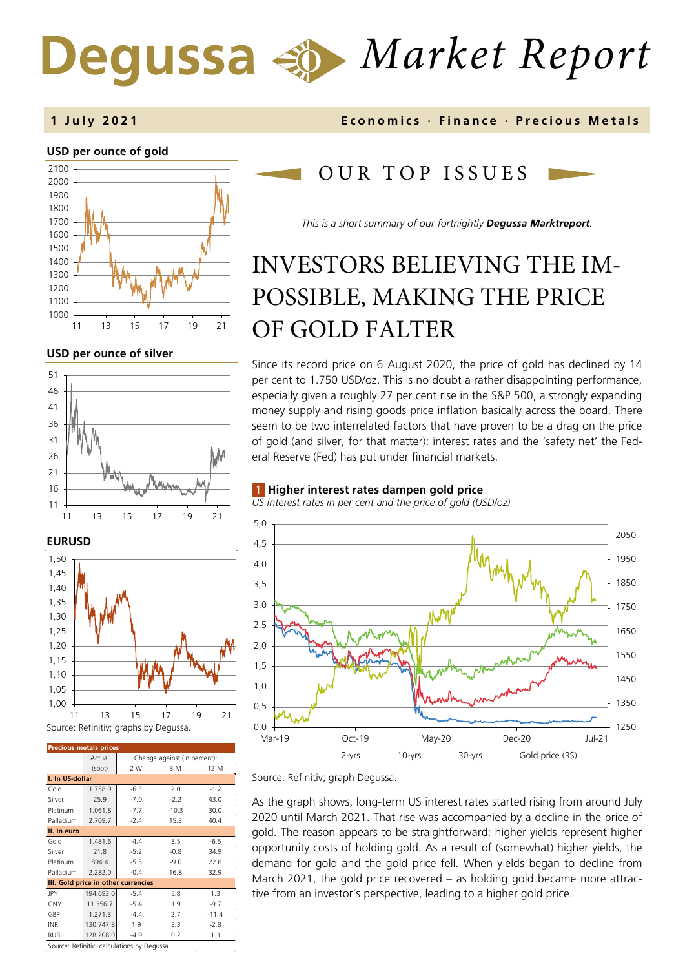# *Market Report*

#### **1 July 202 1 Economics · Finance · Precious M etals**

#### **USD per ounce of gold**



#### **USD per ounce of silver**



**EURUSD** Source: Refinitiv; graphs by Degussa. 1,00 1,05 1,10 1,15 1,20 1,25 1,30 1,35 1,40 1,45 1,50 11 13 15 17 19 21

| <b>Precious metals prices</b>       |           |                                            |         |         |
|-------------------------------------|-----------|--------------------------------------------|---------|---------|
|                                     | Actual    | Change against (in percent):               |         |         |
|                                     | (spot)    | 2 W                                        | 3 M     | 12 M    |
| I. In US-dollar                     |           |                                            |         |         |
| Gold                                | 1.758.9   | $-6.3$                                     | 2.0     | $-1.2$  |
| Silver                              | 25.9      | $-7.0$                                     | $-2.2$  | 43.0    |
| Platinum                            | 1.061.8   | $-7.7$                                     | $-10.3$ | 30.0    |
| Palladium                           | 2.709.7   | $-2.4$                                     | 15.3    | 40.4    |
| II. In euro                         |           |                                            |         |         |
| Gold                                | 1.481.6   | $-4.4$                                     | 3.5     | $-6.5$  |
| Silver                              | 21.8      | $-5.2$                                     | $-0.8$  | 34.9    |
| Platinum                            | 894.4     | $-5.5$                                     | $-9.0$  | 22.6    |
| Palladium                           | 2.282.0   | $-0.4$                                     | 16.8    | 32.9    |
| III. Gold price in other currencies |           |                                            |         |         |
| JPY                                 | 194.693.0 | $-5.4$                                     | 5.8     | 1.3     |
| CNY                                 | 11.356.7  | $-5.4$                                     | 1.9     | $-9.7$  |
| GBP                                 | 1.271.3   | $-4.4$                                     | 2.7     | $-11.4$ |
| <b>INR</b>                          | 130.747.8 | 1.9                                        | 3.3     | $-2.8$  |
| RUB                                 | 128.208.0 | $-4.9$                                     | 0.2     | 1.3     |
|                                     |           | Course: Refinitive salsulations by Degussa |         |         |

Source: Refinitiv; calculations by Degussa.

# OUR TOP ISSUE S

*This is a short summary of our fortnightly Degussa Marktreport.*

# INVESTORS BELIEVING THE IM-POSSIBLE, MAKING THE PRICE OF GOLD FALTER

Since its record price on 6 August 2020, the price of gold has declined by 14 per cent to 1.750 USD/oz. This is no doubt a rather disappointing performance, especially given a roughly 27 per cent rise in the S&P 500, a strongly expanding money supply and rising goods price inflation basically across the board. There seem to be two interrelated factors that have proven to be a drag on the price of gold (and silver, for that matter): interest rates and the 'safety net' the Federal Reserve (Fed) has put under financial markets.

#### 1 **Higher interest rates dampen gold price**

*US interest rates in per cent and the price of gold (USD/oz)*



Source: Refinitiv; graph Degussa.

As the graph shows, long-term US interest rates started rising from around July 2020 until March 2021. That rise was accompanied by a decline in the price of gold. The reason appears to be straightforward: higher yields represent higher opportunity costs of holding gold. As a result of (somewhat) higher yields, the demand for gold and the gold price fell. When yields began to decline from March 2021, the gold price recovered – as holding gold became more attractive from an investor's perspective, leading to a higher gold price.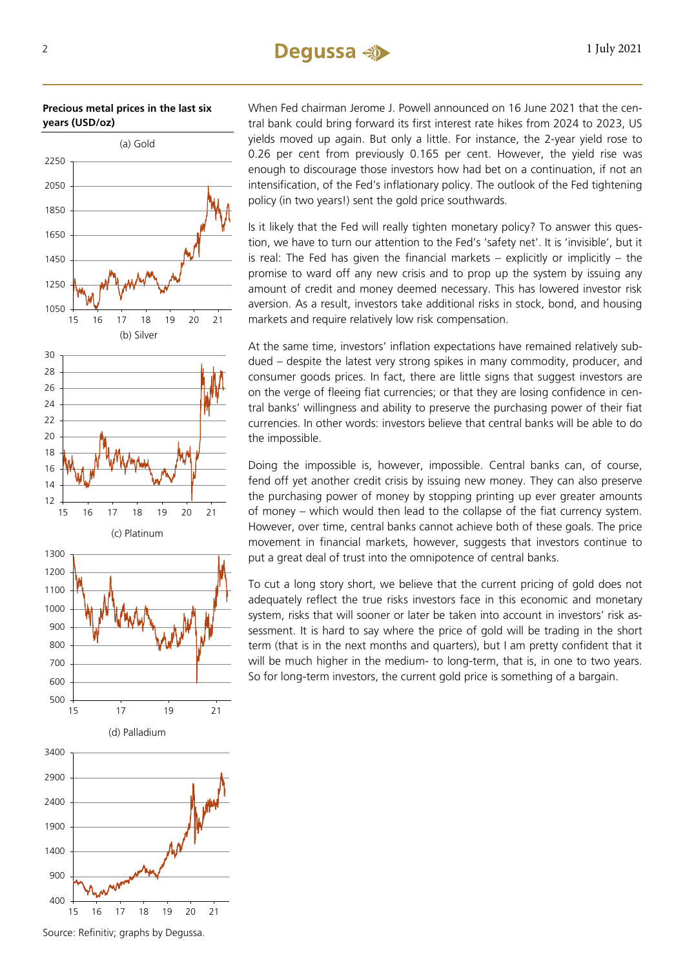### $2 \qquad \qquad$  1 July 2021

#### **Precious metal prices in the last six years (USD/oz)**



When Fed chairman Jerome J. Powell announced on 16 June 2021 that the central bank could bring forward its first interest rate hikes from 2024 to 2023, US yields moved up again. But only a little. For instance, the 2-year yield rose to 0.26 per cent from previously 0.165 per cent. However, the yield rise was enough to discourage those investors how had bet on a continuation, if not an intensification, of the Fed's inflationary policy. The outlook of the Fed tightening policy (in two years!) sent the gold price southwards.

Is it likely that the Fed will really tighten monetary policy? To answer this question, we have to turn our attention to the Fed's 'safety net'. It is 'invisible', but it is real: The Fed has given the financial markets – explicitly or implicitly – the promise to ward off any new crisis and to prop up the system by issuing any amount of credit and money deemed necessary. This has lowered investor risk aversion. As a result, investors take additional risks in stock, bond, and housing markets and require relatively low risk compensation.

At the same time, investors' inflation expectations have remained relatively subdued – despite the latest very strong spikes in many commodity, producer, and consumer goods prices. In fact, there are little signs that suggest investors are on the verge of fleeing fiat currencies; or that they are losing confidence in central banks' willingness and ability to preserve the purchasing power of their fiat currencies. In other words: investors believe that central banks will be able to do the impossible.

Doing the impossible is, however, impossible. Central banks can, of course, fend off yet another credit crisis by issuing new money. They can also preserve the purchasing power of money by stopping printing up ever greater amounts of money – which would then lead to the collapse of the fiat currency system. However, over time, central banks cannot achieve both of these goals. The price movement in financial markets, however, suggests that investors continue to put a great deal of trust into the omnipotence of central banks.

To cut a long story short, we believe that the current pricing of gold does not adequately reflect the true risks investors face in this economic and monetary system, risks that will sooner or later be taken into account in investors' risk assessment. It is hard to say where the price of gold will be trading in the short term (that is in the next months and quarters), but I am pretty confident that it will be much higher in the medium- to long-term, that is, in one to two years. So for long-term investors, the current gold price is something of a bargain.

Source: Refinitiv; graphs by Degussa.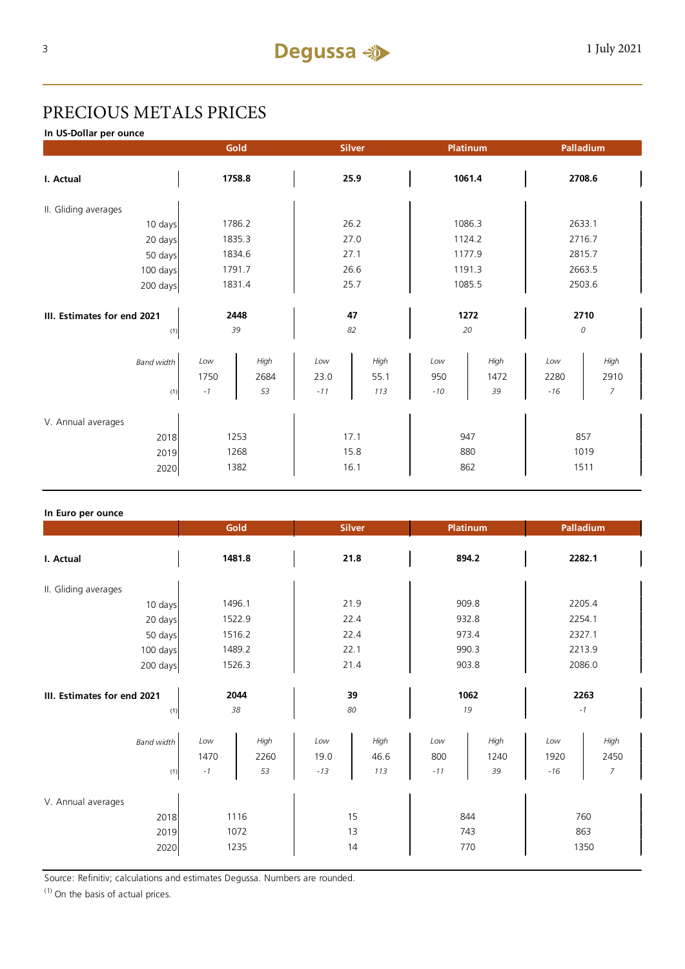# PRECIOUS METALS PRICES

**In US-Dollar per ounce**

|                             | Gold   |        | <b>Silver</b> |      | Platinum |        | Palladium |        |  |
|-----------------------------|--------|--------|---------------|------|----------|--------|-----------|--------|--|
| I. Actual                   | 1758.8 |        | 25.9          |      | 1061.4   |        | 2708.6    |        |  |
| II. Gliding averages        |        |        |               |      |          |        |           |        |  |
| 10 days                     |        | 1786.2 |               | 26.2 |          | 1086.3 |           | 2633.1 |  |
| 20 days                     |        | 1835.3 |               | 27.0 |          | 1124.2 |           | 2716.7 |  |
| 50 days                     |        | 1834.6 |               | 27.1 |          | 1177.9 |           | 2815.7 |  |
| 100 days                    |        | 1791.7 |               | 26.6 |          | 1191.3 |           | 2663.5 |  |
| 200 days                    | 1831.4 |        | 25.7          |      | 1085.5   |        | 2503.6    |        |  |
|                             |        |        |               |      |          |        |           |        |  |
| III. Estimates for end 2021 | 2448   |        | 47            |      | 1272     |        | 2710      |        |  |
| (1)                         | 39     |        | 82            |      | 20       |        | 0         |        |  |
| <b>Band width</b>           | Low    | High   | Low           | High | Low      | High   | Low       | High   |  |
|                             | 1750   | 2684   | 23.0          | 55.1 | 950      | 1472   | 2280      | 2910   |  |
| (1)                         | $-1$   | 53     | $-11$         | 113  | $-10$    | 39     | $-16$     | 7      |  |
| V. Annual averages          |        |        |               |      |          |        |           |        |  |
| 2018                        | 1253   |        | 17.1          |      | 947      |        | 857       |        |  |
| 2019                        | 1268   |        | 15.8          |      | 880      |        | 1019      |        |  |
| 2020                        | 1382   |        | 16.1          |      | 862      |        | 1511      |        |  |

#### **In Euro per ounce**

|                                            | Gold<br><b>Silver</b> |                      | <b>Platinum</b>      |                     | Palladium           |                    |                      |                                |  |
|--------------------------------------------|-----------------------|----------------------|----------------------|---------------------|---------------------|--------------------|----------------------|--------------------------------|--|
| I. Actual                                  | 1481.8                |                      | 21.8                 |                     | 894.2               |                    | 2282.1               |                                |  |
| II. Gliding averages                       |                       |                      |                      |                     |                     |                    |                      |                                |  |
| 10 days                                    | 1496.1                |                      | 21.9                 |                     | 909.8               |                    | 2205.4               |                                |  |
| 20 days                                    | 1522.9                |                      | 22.4                 |                     | 932.8               |                    | 2254.1               |                                |  |
| 50 days                                    |                       | 1516.2               |                      | 22.4                |                     | 973.4              |                      | 2327.1                         |  |
| 100 days                                   |                       | 1489.2               |                      | 22.1                |                     | 990.3              |                      | 2213.9                         |  |
| 200 days                                   | 1526.3                |                      | 21.4                 |                     | 903.8               |                    | 2086.0               |                                |  |
| III. Estimates for end 2021<br>(1)         | 2044<br>38            |                      | 39<br>80             |                     | 1062<br>19          |                    | 2263<br>$-1$         |                                |  |
| <b>Band width</b><br>(1)                   | Low<br>1470<br>$-1$   | High<br>2260<br>53   | Low<br>19.0<br>$-13$ | High<br>46.6<br>113 | Low<br>800<br>$-11$ | High<br>1240<br>39 | Low<br>1920<br>$-16$ | High<br>2450<br>$\overline{7}$ |  |
| V. Annual averages<br>2018<br>2019<br>2020 |                       | 1116<br>1072<br>1235 |                      | 15<br>13<br>14      |                     | 844<br>743<br>770  |                      | 760<br>863<br>1350             |  |

Source: Refinitiv; calculations and estimates Degussa. Numbers are rounded.

 $(1)$  On the basis of actual prices.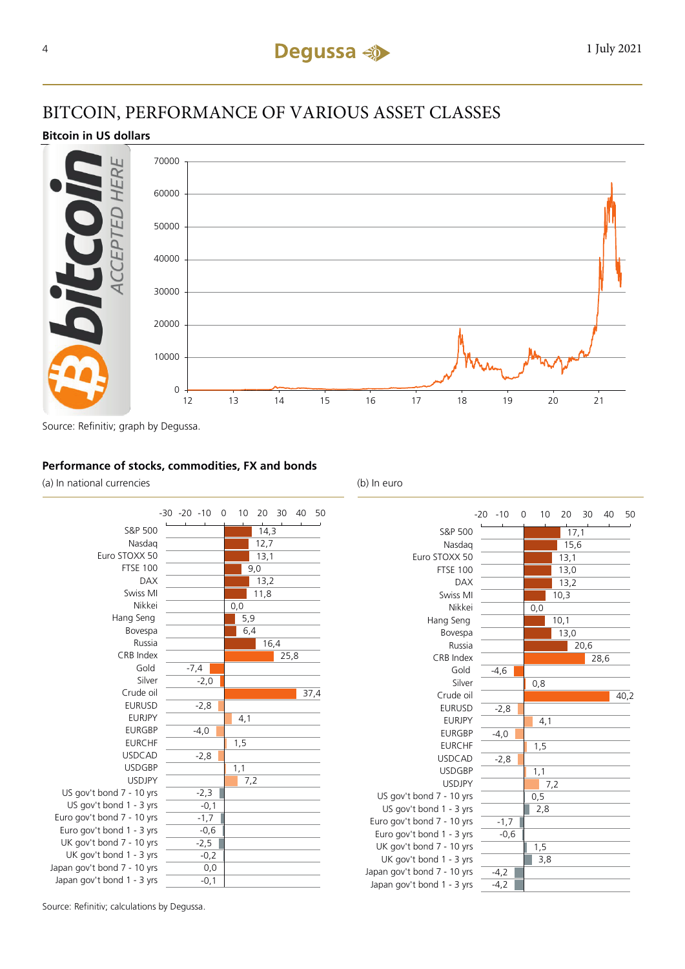## BITCOIN, PERFORMANCE OF VARIOUS ASSET CLASSES

#### **Bitcoin in US dollars**



Source: Refinitiv; graph by Degussa.

#### **Performance of stocks, commodities, FX and bonds**

(a) In national currencies (b) In euro





Source: Refinitiv; calculations by Degussa.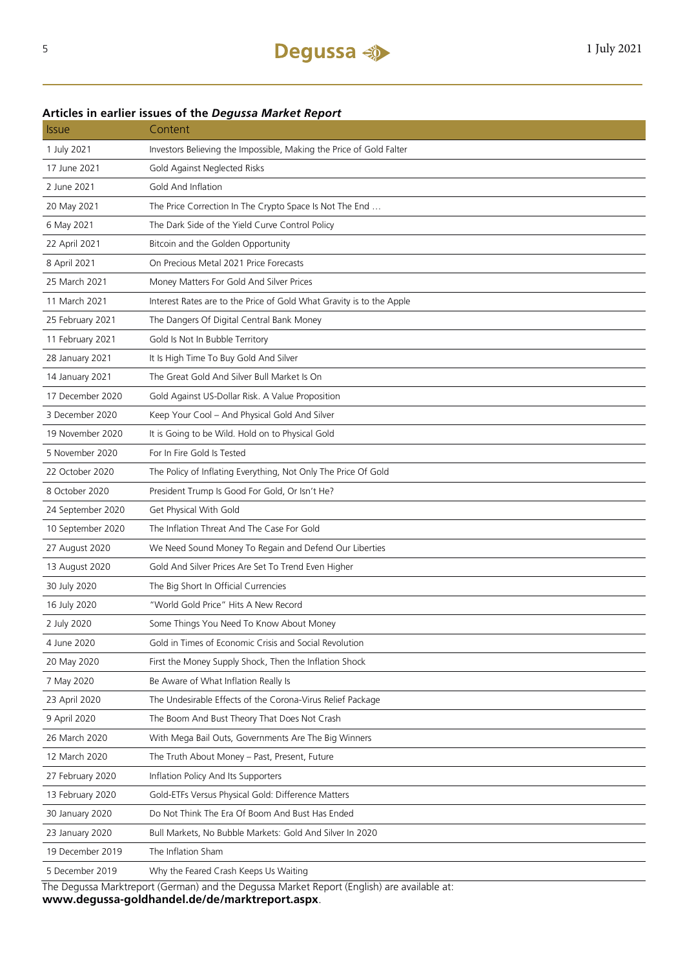#### **Articles in earlier issues of the** *Degussa Market Report*

| <b>Issue</b>      | Content                                                              |
|-------------------|----------------------------------------------------------------------|
| 1 July 2021       | Investors Believing the Impossible, Making the Price of Gold Falter  |
| 17 June 2021      | Gold Against Neglected Risks                                         |
| 2 June 2021       | Gold And Inflation                                                   |
| 20 May 2021       | The Price Correction In The Crypto Space Is Not The End              |
| 6 May 2021        | The Dark Side of the Yield Curve Control Policy                      |
| 22 April 2021     | Bitcoin and the Golden Opportunity                                   |
| 8 April 2021      | On Precious Metal 2021 Price Forecasts                               |
| 25 March 2021     | Money Matters For Gold And Silver Prices                             |
| 11 March 2021     | Interest Rates are to the Price of Gold What Gravity is to the Apple |
| 25 February 2021  | The Dangers Of Digital Central Bank Money                            |
| 11 February 2021  | Gold Is Not In Bubble Territory                                      |
| 28 January 2021   | It Is High Time To Buy Gold And Silver                               |
| 14 January 2021   | The Great Gold And Silver Bull Market Is On                          |
| 17 December 2020  | Gold Against US-Dollar Risk. A Value Proposition                     |
| 3 December 2020   | Keep Your Cool - And Physical Gold And Silver                        |
| 19 November 2020  | It is Going to be Wild. Hold on to Physical Gold                     |
| 5 November 2020   | For In Fire Gold Is Tested                                           |
| 22 October 2020   | The Policy of Inflating Everything, Not Only The Price Of Gold       |
| 8 October 2020    | President Trump Is Good For Gold, Or Isn't He?                       |
| 24 September 2020 | Get Physical With Gold                                               |
| 10 September 2020 | The Inflation Threat And The Case For Gold                           |
| 27 August 2020    | We Need Sound Money To Regain and Defend Our Liberties               |
| 13 August 2020    | Gold And Silver Prices Are Set To Trend Even Higher                  |
| 30 July 2020      | The Big Short In Official Currencies                                 |
| 16 July 2020      | "World Gold Price" Hits A New Record                                 |
| 2 July 2020       | Some Things You Need To Know About Money                             |
| 4 June 2020       | Gold in Times of Economic Crisis and Social Revolution               |
| 20 May 2020       | First the Money Supply Shock, Then the Inflation Shock               |
| 7 May 2020        | Be Aware of What Inflation Really Is                                 |
| 23 April 2020     | The Undesirable Effects of the Corona-Virus Relief Package           |
| 9 April 2020      | The Boom And Bust Theory That Does Not Crash                         |
| 26 March 2020     | With Mega Bail Outs, Governments Are The Big Winners                 |
| 12 March 2020     | The Truth About Money - Past, Present, Future                        |
| 27 February 2020  | Inflation Policy And Its Supporters                                  |
| 13 February 2020  | Gold-ETFs Versus Physical Gold: Difference Matters                   |
| 30 January 2020   | Do Not Think The Era Of Boom And Bust Has Ended                      |
| 23 January 2020   | Bull Markets, No Bubble Markets: Gold And Silver In 2020             |
| 19 December 2019  | The Inflation Sham                                                   |
| 5 December 2019   | Why the Feared Crash Keeps Us Waiting                                |
|                   | $+$ $\overline{D}$ $+$                                               |

The Degussa Marktreport (German) and the Degussa Market Report (English) are available at: **www.degussa-goldhandel.de/de/marktreport.aspx**.